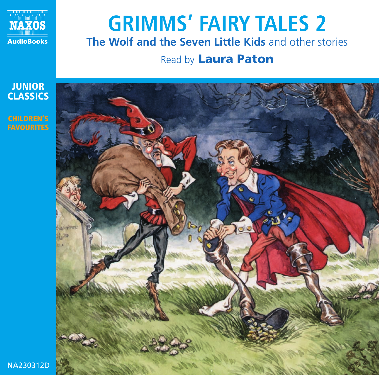

## **GRIMMS' FAIRY TALES 2 The Wolf and the Seven Little Kids** and other stories

### Read by **Laura Paton**

**JUNIOR CLASSICS CHILDREN'S FAVOURITES**



NA230312D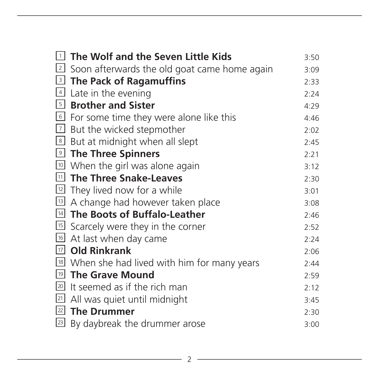| 1            | The Wolf and the Seven Little Kids                               | 3:50 |
|--------------|------------------------------------------------------------------|------|
|              | $\lfloor 2 \rfloor$ Soon afterwards the old goat came home again | 3:09 |
|              | I The Pack of Ragamuffins                                        | 2:33 |
|              | $4$ Late in the evening                                          | 2:24 |
|              | <b>5</b> Brother and Sister                                      | 4:29 |
|              | 6 For some time they were alone like this                        | 4:46 |
|              | $\lfloor$ 2 But the wicked stepmother                            | 2:02 |
|              | 8 But at midnight when all slept                                 | 2:45 |
|              | <b>D</b> The Three Spinners                                      | 2:21 |
|              | Ⅰ <sup>10</sup> When the girl was alone again                    | 3:12 |
|              | 11 The Three Snake-Leaves                                        | 2:30 |
|              | $\boxed{12}$ They lived now for a while                          | 3:01 |
| 13           | A change had however taken place                                 | 3:08 |
|              | III The Boots of Buffalo-Leather                                 | 2:46 |
|              | Scarcely were they in the corner                                 | 2:52 |
|              | 16 At last when day came                                         | 2:24 |
|              | $\boxdot$ Old Rinkrank                                           | 2:06 |
|              | <sup>18</sup> When she had lived with him for many years         | 2:44 |
|              | <sup>19</sup> The Grave Mound                                    | 2:59 |
| 20           | It seemed as if the rich man                                     | 2:12 |
| 21           | All was quiet until midnight                                     | 3:45 |
|              | $22$ The Drummer                                                 | 2:30 |
| $\boxed{23}$ | By daybreak the drummer arose                                    | 3:00 |

<u> 1980 - Johann Barn, amerikan bestemann og større og større og større og større og større og større og større</u>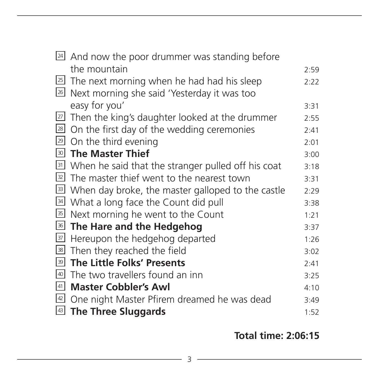| 24     | And now the poor drummer was standing before       |      |
|--------|----------------------------------------------------|------|
|        | the mountain                                       | 2:59 |
|        | ⊠ The next morning when he had had his sleep       | 2:22 |
| 26     | Next morning she said 'Yesterday it was too        |      |
|        | easy for you'                                      | 3:31 |
| 27     | Then the king's daughter looked at the drummer     | 2:55 |
| 28     | On the first day of the wedding ceremonies         | 2:41 |
| 29     | On the third evening                               | 2:01 |
| 30     | <b>The Master Thief</b>                            | 3:00 |
| 31     | When he said that the stranger pulled off his coat | 3:18 |
| 32     | The master thief went to the nearest town          | 3:31 |
| 33     | When day broke, the master galloped to the castle  | 2:29 |
| 34     | What a long face the Count did pull                | 3:38 |
| 35     | Next morning he went to the Count                  | 1:21 |
| 36     | The Hare and the Hedgehog                          | 3:37 |
| $37\,$ | Hereupon the hedgehog departed                     | 1:26 |
| 38     | Then they reached the field                        | 3:02 |
| 39     | The Little Folks' Presents                         | 2:41 |
| 40     | The two travellers found an inn                    | 3:25 |
| 41     | <b>Master Cobbler's Awl</b>                        | 4:10 |
| 42     | One night Master Pfirem dreamed he was dead        | 3:49 |
| 43     | The Three Sluggards                                | 1:52 |

**Total time: 2:06:15**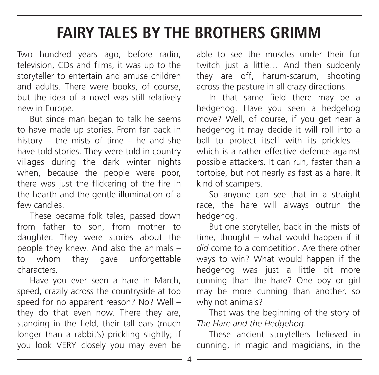## **FAIRY TALES BY THE BROTHERS GRIMM**

Two hundred years ago, before radio, television, CDs and films, it was up to the storyteller to entertain and amuse children and adults. There were books, of course, but the idea of a novel was still relatively new in Europe.

But since man began to talk he seems to have made up stories. From far back in history – the mists of time – he and she have told stories. They were told in country villages during the dark winter nights when, because the people were poor, there was just the flickering of the fire in the hearth and the gentle illumination of a few candles.

These became folk tales, passed down from father to son, from mother to daughter. They were stories about the people they knew. And also the animals – to whom they gave unforgettable characters.

Have you ever seen a hare in March, speed, crazily across the countryside at top speed for no apparent reason? No? Well – they do that even now. There they are standing in the field, their tall ears (much longer than a rabbit's) prickling slightly; if you look VERY closely you may even be able to see the muscles under their fur twitch just a little... And then suddenly they are off, harum-scarum, shooting across the pasture in all crazy directions.

In that same field there may be a hedgehog. Have you seen a hedgehog move? Well, of course, if you get near a hedgehog it may decide it will roll into a ball to protect itself with its prickles – which is a rather effective defence against possible attackers. It can run, faster than a tortoise, but not nearly as fast as a hare. It kind of scampers.

So anyone can see that in a straight race, the hare will always outrun the hedgehog.

But one storyteller, back in the mists of time, thought – what would happen if it *did* come to a competition. Are there other ways to win? What would happen if the hedgehog was just a little bit more cunning than the hare? One boy or girl may be more cunning than another, so why not animals?

That was the beginning of the story of *The Hare and the Hedgehog.*

These ancient storytellers believed in cunning, in magic and magicians, in the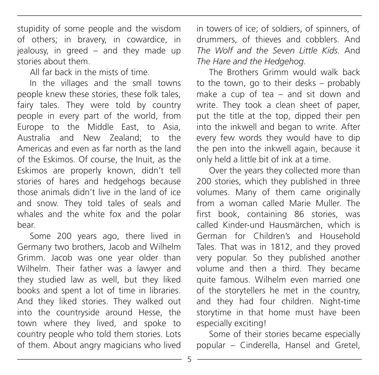stupidity of some people and the wisdom of others; in bravery, in cowardice, in jealousy, in greed – and they made up stories about them.

All far back in the mists of time.

In the villages and the small towns people knew these stories, these folk tales, fairy tales. They were told by country people in every part of the world, from Europe to the Middle East, to Asia, Australia and New Zealand; to the Americas and even as far north as the land of the Eskimos. Of course, the Inuit, as the Eskimos are properly known, didn't tell stories of hares and hedgehogs because those animals didn't live in the land of ice and snow. They told tales of seals and whales and the white fox and the polar bear.

Some 200 years ago, there lived in Germany two brothers, Jacob and Wilhelm Grimm. Jacob was one year older than Wilhelm. Their father was a lawyer and they studied law as well, but they liked books and spent a lot of time in libraries. And they liked stories. They walked out into the countryside around Hesse, the town where they lived, and spoke to country people who told them stories. Lots of them. About angry magicians who lived in towers of ice; of soldiers, of spinners, of drummers, of thieves and cobblers. And *The Wolf and the Seven Little Kids.* And *The Hare and the Hedgehog.*

The Brothers Grimm would walk back to the town, go to their desks – probably make a cup of tea – and sit down and write. They took a clean sheet of paper, put the title at the top, dipped their pen into the inkwell and began to write. After every few words they would have to dip the pen into the inkwell again, because it only held a little bit of ink at a time.

Over the years they collected more than 200 stories, which they published in three volumes. Many of them came originally from a woman called Marie Muller. The first book, containing 86 stories, was called Kinder-und Hausmärchen, which is German for Children's and Household Tales. That was in 1812, and they proved very popular. So they published another volume and then a third. They became quite famous. Wilhelm even married one of the storytellers he met in the country, and they had four children. Night-time storytime in that home must have been especially exciting!

Some of their stories became especially popular – Cinderella, Hansel and Gretel,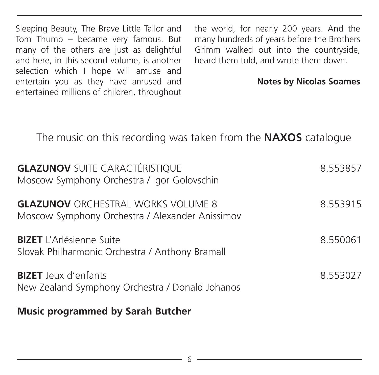Sleeping Beauty, The Brave Little Tailor and Tom Thumb – became very famous. But many of the others are just as delightful and here, in this second volume, is another selection which I hope will amuse and entertain you as they have amused and entertained millions of children, throughout

the world, for nearly 200 years. And the many hundreds of years before the Brothers Grimm walked out into the countryside, heard them told, and wrote them down.

#### **Notes by Nicolas Soames**

### The music on this recording was taken from the **NAXOS** catalogue

| <b>GLAZUNOV SUITE CARACTÉRISTIQUE</b><br>Moscow Symphony Orchestra / Igor Golovschin         | 8.553857 |
|----------------------------------------------------------------------------------------------|----------|
| <b>GLAZUNOV ORCHESTRAL WORKS VOLUME 8</b><br>Moscow Symphony Orchestra / Alexander Anissimov | 8.553915 |
| <b>BIZET</b> L'Arlésienne Suite<br>Slovak Philharmonic Orchestra / Anthony Bramall           | 8.550061 |
| <b>BIZET</b> Jeux d'enfants<br>New Zealand Symphony Orchestra / Donald Johanos               | 8.553027 |
| <b>Music programmed by Sarah Butcher</b>                                                     |          |